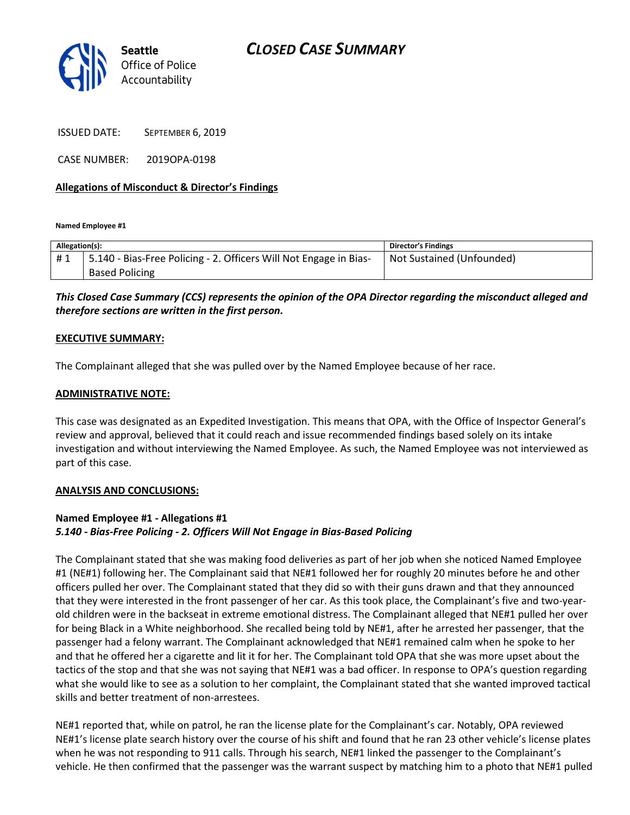# CLOSED CASE SUMMARY



ISSUED DATE: SEPTEMBER 6, 2019

CASE NUMBER: 2019OPA-0198

## Allegations of Misconduct & Director's Findings

Named Employee #1

| Allegation(s): |                                                                   | <b>Director's Findings</b> |
|----------------|-------------------------------------------------------------------|----------------------------|
| #1             | 5.140 - Bias-Free Policing - 2. Officers Will Not Engage in Bias- | Not Sustained (Unfounded)  |
|                | <b>Based Policing</b>                                             |                            |

This Closed Case Summary (CCS) represents the opinion of the OPA Director regarding the misconduct alleged and therefore sections are written in the first person.

#### EXECUTIVE SUMMARY:

The Complainant alleged that she was pulled over by the Named Employee because of her race.

### ADMINISTRATIVE NOTE:

This case was designated as an Expedited Investigation. This means that OPA, with the Office of Inspector General's review and approval, believed that it could reach and issue recommended findings based solely on its intake investigation and without interviewing the Named Employee. As such, the Named Employee was not interviewed as part of this case.

#### ANALYSIS AND CONCLUSIONS:

# Named Employee #1 - Allegations #1 5.140 - Bias-Free Policing - 2. Officers Will Not Engage in Bias-Based Policing

The Complainant stated that she was making food deliveries as part of her job when she noticed Named Employee #1 (NE#1) following her. The Complainant said that NE#1 followed her for roughly 20 minutes before he and other officers pulled her over. The Complainant stated that they did so with their guns drawn and that they announced that they were interested in the front passenger of her car. As this took place, the Complainant's five and two-yearold children were in the backseat in extreme emotional distress. The Complainant alleged that NE#1 pulled her over for being Black in a White neighborhood. She recalled being told by NE#1, after he arrested her passenger, that the passenger had a felony warrant. The Complainant acknowledged that NE#1 remained calm when he spoke to her and that he offered her a cigarette and lit it for her. The Complainant told OPA that she was more upset about the tactics of the stop and that she was not saying that NE#1 was a bad officer. In response to OPA's question regarding what she would like to see as a solution to her complaint, the Complainant stated that she wanted improved tactical skills and better treatment of non-arrestees.

NE#1 reported that, while on patrol, he ran the license plate for the Complainant's car. Notably, OPA reviewed NE#1's license plate search history over the course of his shift and found that he ran 23 other vehicle's license plates when he was not responding to 911 calls. Through his search, NE#1 linked the passenger to the Complainant's vehicle. He then confirmed that the passenger was the warrant suspect by matching him to a photo that NE#1 pulled